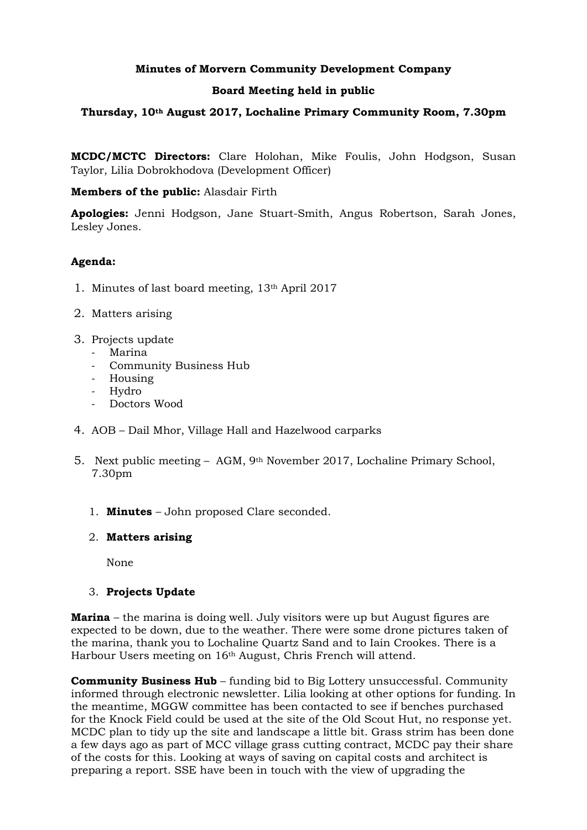# **Minutes of Morvern Community Development Company**

#### **Board Meeting held in public**

# **Thursday, 10th August 2017, Lochaline Primary Community Room, 7.30pm**

**MCDC/MCTC Directors:** Clare Holohan, Mike Foulis, John Hodgson, Susan Taylor, Lilia Dobrokhodova (Development Officer)

**Members of the public:** Alasdair Firth

**Apologies:** Jenni Hodgson, Jane Stuart-Smith, Angus Robertson, Sarah Jones, Lesley Jones.

# **Agenda:**

- 1. Minutes of last board meeting, 13th April 2017
- 2. Matters arising
- 3. Projects update
	- Marina
	- Community Business Hub
	- Housing
	- Hydro
	- Doctors Wood
- 4. AOB Dail Mhor, Village Hall and Hazelwood carparks
- 5. Next public meeting AGM, 9th November 2017, Lochaline Primary School, 7.30pm
	- 1. **Minutes** John proposed Clare seconded.
	- 2. **Matters arising**

None

#### 3. **Projects Update**

**Marina** – the marina is doing well. July visitors were up but August figures are expected to be down, due to the weather. There were some drone pictures taken of the marina, thank you to Lochaline Quartz Sand and to Iain Crookes. There is a Harbour Users meeting on 16th August, Chris French will attend.

**Community Business Hub** – funding bid to Big Lottery unsuccessful. Community informed through electronic newsletter. Lilia looking at other options for funding. In the meantime, MGGW committee has been contacted to see if benches purchased for the Knock Field could be used at the site of the Old Scout Hut, no response yet. MCDC plan to tidy up the site and landscape a little bit. Grass strim has been done a few days ago as part of MCC village grass cutting contract, MCDC pay their share of the costs for this. Looking at ways of saving on capital costs and architect is preparing a report. SSE have been in touch with the view of upgrading the